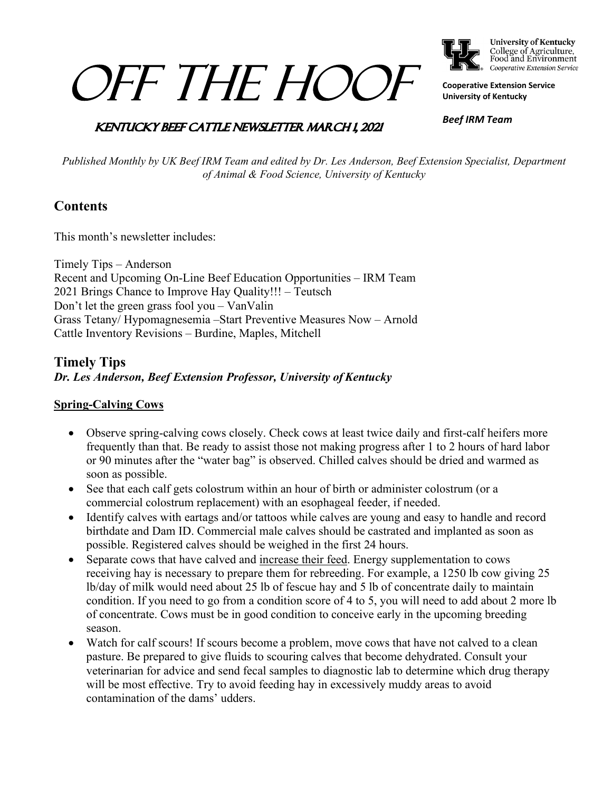# OFF THE HOOF



**University of Kentucky** College of Agriculture,<br>Food and Environment Cooperative Extension Service

**Cooperative Extension Service University of Kentucky**

# **KENTUCKY BEEF CATTLE NEWSLETTER MARCH 1, 2021**

*Beef IRM Team*

*Published Monthly by UK Beef IRM Team and edited by Dr. Les Anderson, Beef Extension Specialist, Department of Animal & Food Science, University of Kentucky*

# **Contents**

This month's newsletter includes:

Timely Tips – Anderson Recent and Upcoming On-Line Beef Education Opportunities – IRM Team 2021 Brings Chance to Improve Hay Quality!!! – Teutsch Don't let the green grass fool you – VanValin Grass Tetany/ Hypomagnesemia –Start Preventive Measures Now – Arnold Cattle Inventory Revisions – Burdine, Maples, Mitchell

# **Timely Tips** *Dr. Les Anderson, Beef Extension Professor, University of Kentucky*

#### **Spring-Calving Cows**

- Observe spring-calving cows closely. Check cows at least twice daily and first-calf heifers more frequently than that. Be ready to assist those not making progress after 1 to 2 hours of hard labor or 90 minutes after the "water bag" is observed. Chilled calves should be dried and warmed as soon as possible.
- See that each calf gets colostrum within an hour of birth or administer colostrum (or a commercial colostrum replacement) with an esophageal feeder, if needed.
- Identify calves with eartags and/or tattoos while calves are young and easy to handle and record birthdate and Dam ID. Commercial male calves should be castrated and implanted as soon as possible. Registered calves should be weighed in the first 24 hours.
- Separate cows that have calved and increase their feed. Energy supplementation to cows receiving hay is necessary to prepare them for rebreeding. For example, a 1250 lb cow giving 25 lb/day of milk would need about 25 lb of fescue hay and 5 lb of concentrate daily to maintain condition. If you need to go from a condition score of 4 to 5, you will need to add about 2 more lb of concentrate. Cows must be in good condition to conceive early in the upcoming breeding season.
- Watch for calf scours! If scours become a problem, move cows that have not calved to a clean pasture. Be prepared to give fluids to scouring calves that become dehydrated. Consult your veterinarian for advice and send fecal samples to diagnostic lab to determine which drug therapy will be most effective. Try to avoid feeding hay in excessively muddy areas to avoid contamination of the dams' udders.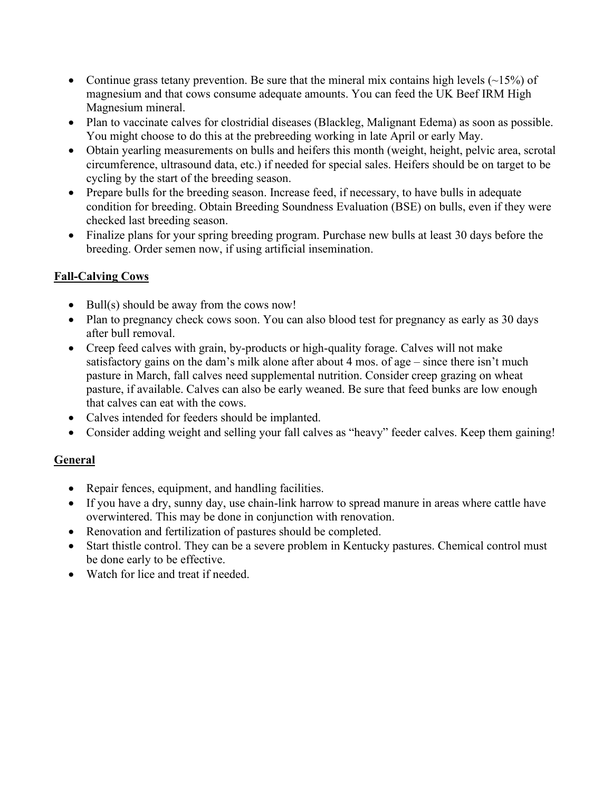- Continue grass tetany prevention. Be sure that the mineral mix contains high levels  $(\sim 15\%)$  of magnesium and that cows consume adequate amounts. You can feed the UK Beef IRM High Magnesium mineral.
- Plan to vaccinate calves for clostridial diseases (Blackleg, Malignant Edema) as soon as possible. You might choose to do this at the prebreeding working in late April or early May.
- Obtain yearling measurements on bulls and heifers this month (weight, height, pelvic area, scrotal circumference, ultrasound data, etc.) if needed for special sales. Heifers should be on target to be cycling by the start of the breeding season.
- Prepare bulls for the breeding season. Increase feed, if necessary, to have bulls in adequate condition for breeding. Obtain Breeding Soundness Evaluation (BSE) on bulls, even if they were checked last breeding season.
- Finalize plans for your spring breeding program. Purchase new bulls at least 30 days before the breeding. Order semen now, if using artificial insemination.

### **Fall-Calving Cows**

- Bull(s) should be away from the cows now!
- Plan to pregnancy check cows soon. You can also blood test for pregnancy as early as 30 days after bull removal.
- Creep feed calves with grain, by-products or high-quality forage. Calves will not make satisfactory gains on the dam's milk alone after about 4 mos. of age – since there isn't much pasture in March, fall calves need supplemental nutrition. Consider creep grazing on wheat pasture, if available. Calves can also be early weaned. Be sure that feed bunks are low enough that calves can eat with the cows.
- Calves intended for feeders should be implanted.
- Consider adding weight and selling your fall calves as "heavy" feeder calves. Keep them gaining!

#### **General**

- Repair fences, equipment, and handling facilities.
- If you have a dry, sunny day, use chain-link harrow to spread manure in areas where cattle have overwintered. This may be done in conjunction with renovation.
- Renovation and fertilization of pastures should be completed.
- Start thistle control. They can be a severe problem in Kentucky pastures. Chemical control must be done early to be effective.
- Watch for lice and treat if needed.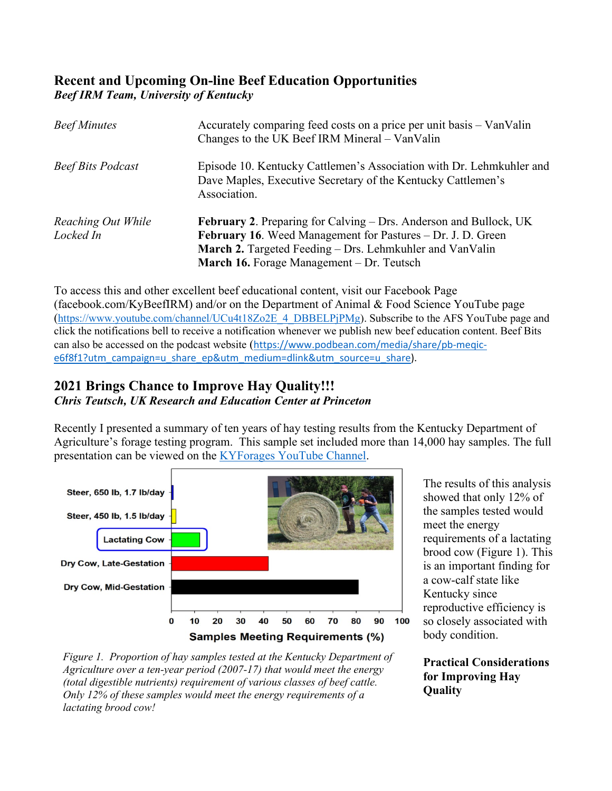# **Recent and Upcoming On-line Beef Education Opportunities** *Beef IRM Team, University of Kentucky*

| <b>Beef Minutes</b>             | Accurately comparing feed costs on a price per unit basis - VanValin<br>Changes to the UK Beef IRM Mineral – VanValin                                                                                                                            |
|---------------------------------|--------------------------------------------------------------------------------------------------------------------------------------------------------------------------------------------------------------------------------------------------|
| <b>Beef Bits Podcast</b>        | Episode 10. Kentucky Cattlemen's Association with Dr. Lehmkuhler and<br>Dave Maples, Executive Secretary of the Kentucky Cattlemen's<br>Association.                                                                                             |
| Reaching Out While<br>Locked In | February 2. Preparing for Calving - Drs. Anderson and Bullock, UK<br><b>February 16.</b> Weed Management for Pastures – Dr. J. D. Green<br>March 2. Targeted Feeding – Drs. Lehmkuhler and VanValin<br>March 16. Forage Management – Dr. Teutsch |

To access this and other excellent beef educational content, visit our Facebook Page (facebook.com/KyBeefIRM) and/or on the Department of Animal & Food Science YouTube page [\(https://www.youtube.com/channel/UCu4t18Zo2E\\_4\\_DBBELPjPMg\)](https://www.youtube.com/channel/UCu4t18Zo2E_4_DBBELPjPMg). Subscribe to the AFS YouTube page and click the notifications bell to receive a notification whenever we publish new beef education content. Beef Bits can also be accessed on the podcast website ([https://www.podbean.com/media/share/pb-meqic](https://www.podbean.com/media/share/pb-meqic-e6f8f1?utm_campaign=u_share_ep&utm_medium=dlink&utm_source=u_share)[e6f8f1?utm\\_campaign=u\\_share\\_ep&utm\\_medium=dlink&utm\\_source=u\\_share\)](https://www.podbean.com/media/share/pb-meqic-e6f8f1?utm_campaign=u_share_ep&utm_medium=dlink&utm_source=u_share).

#### **2021 Brings Chance to Improve Hay Quality!!!** *Chris Teutsch, UK Research and Education Center at Princeton*

Recently I presented a summary of ten years of hay testing results from the Kentucky Department of Agriculture's forage testing program. This sample set included more than 14,000 hay samples. The full presentation can be viewed on the [KYForages YouTube Channel.](https://youtube.com/playlist?list=PLrq6psn95pUwwqBBJyl8fZKbmz2Gpfqfy)



The results of this analysis showed that only 12% of the samples tested would meet the energy requirements of a lactating brood cow (Figure 1). This is an important finding for a cow-calf state like Kentucky since reproductive efficiency is so closely associated with body condition.

**Practical Considerations for Improving Hay Quality**

*Figure 1. Proportion of hay samples tested at the Kentucky Department of Agriculture over a ten-year period (2007-17) that would meet the energy (total digestible nutrients) requirement of various classes of beef cattle. Only 12% of these samples would meet the energy requirements of a lactating brood cow!*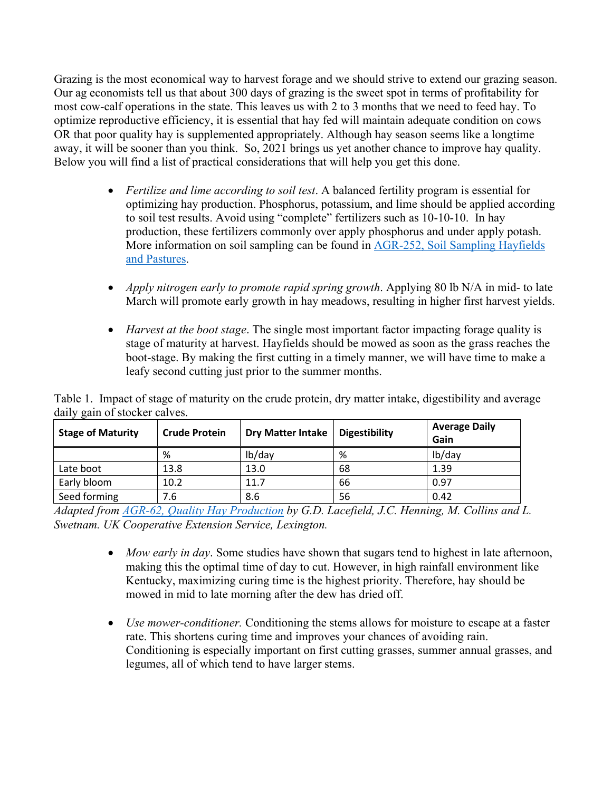Grazing is the most economical way to harvest forage and we should strive to extend our grazing season. Our ag economists tell us that about 300 days of grazing is the sweet spot in terms of profitability for most cow-calf operations in the state. This leaves us with 2 to 3 months that we need to feed hay. To optimize reproductive efficiency, it is essential that hay fed will maintain adequate condition on cows OR that poor quality hay is supplemented appropriately. Although hay season seems like a longtime away, it will be sooner than you think. So, 2021 brings us yet another chance to improve hay quality. Below you will find a list of practical considerations that will help you get this done.

- *Fertilize and lime according to soil test*. A balanced fertility program is essential for optimizing hay production. Phosphorus, potassium, and lime should be applied according to soil test results. Avoid using "complete" fertilizers such as 10-10-10. In hay production, these fertilizers commonly over apply phosphorus and under apply potash. More information on soil sampling can be found in [AGR-252, Soil Sampling Hayfields](http://www2.ca.uky.edu/agcomm/pubs/AGR/AGR252/AGR252.pdf)  [and Pastures.](http://www2.ca.uky.edu/agcomm/pubs/AGR/AGR252/AGR252.pdf)
- *Apply nitrogen early to promote rapid spring growth.* Applying 80 lb N/A in mid- to late March will promote early growth in hay meadows, resulting in higher first harvest yields.
- *Harvest at the boot stage*. The single most important factor impacting forage quality is stage of maturity at harvest. Hayfields should be mowed as soon as the grass reaches the boot-stage. By making the first cutting in a timely manner, we will have time to make a leafy second cutting just prior to the summer months.

| <b>Stage of Maturity</b> | <b>Crude Protein</b> | <b>Dry Matter Intake</b> | <b>Digestibility</b> | <b>Average Daily</b><br>Gain |
|--------------------------|----------------------|--------------------------|----------------------|------------------------------|
|                          | %                    | lb/day                   | %                    | lb/day                       |
| Late boot                | 13.8                 | 13.0                     | 68                   | 1.39                         |
| Early bloom              | 10.2                 | 11.7                     | 66                   | 0.97                         |
| Seed forming             | 7.6                  | 8.6                      | 56                   | 0.42                         |

Table 1. Impact of stage of maturity on the crude protein, dry matter intake, digestibility and average daily gain of stocker calves.

*Adapted from [AGR-62, Quality Hay Production](http://www2.ca.uky.edu/agcomm/pubs/agr/agr62/agr62.pdf) by G.D. Lacefield, J.C. Henning, M. Collins and L. Swetnam. UK Cooperative Extension Service, Lexington.* 

- *Mow early in day*. Some studies have shown that sugars tend to highest in late afternoon, making this the optimal time of day to cut. However, in high rainfall environment like Kentucky, maximizing curing time is the highest priority. Therefore, hay should be mowed in mid to late morning after the dew has dried off.
- *Use mower-conditioner.* Conditioning the stems allows for moisture to escape at a faster rate. This shortens curing time and improves your chances of avoiding rain. Conditioning is especially important on first cutting grasses, summer annual grasses, and legumes, all of which tend to have larger stems.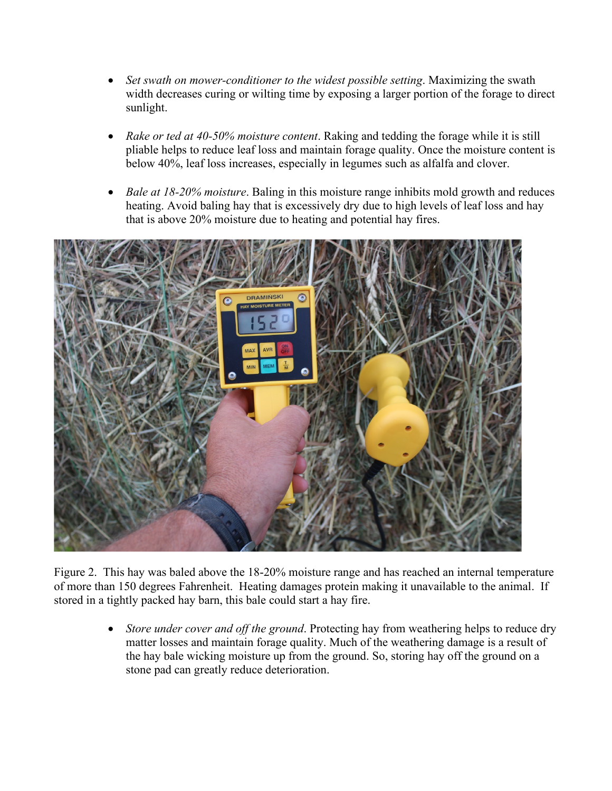- *Set swath on mower-conditioner to the widest possible setting*. Maximizing the swath width decreases curing or wilting time by exposing a larger portion of the forage to direct sunlight.
- *Rake or ted at 40-50% moisture content*. Raking and tedding the forage while it is still pliable helps to reduce leaf loss and maintain forage quality. Once the moisture content is below 40%, leaf loss increases, especially in legumes such as alfalfa and clover.
- *Bale at 18-20% moisture*. Baling in this moisture range inhibits mold growth and reduces heating. Avoid baling hay that is excessively dry due to high levels of leaf loss and hay that is above 20% moisture due to heating and potential hay fires.



Figure 2. This hay was baled above the 18-20% moisture range and has reached an internal temperature of more than 150 degrees Fahrenheit. Heating damages protein making it unavailable to the animal. If stored in a tightly packed hay barn, this bale could start a hay fire.

> • *Store under cover and off the ground*. Protecting hay from weathering helps to reduce dry matter losses and maintain forage quality. Much of the weathering damage is a result of the hay bale wicking moisture up from the ground. So, storing hay off the ground on a stone pad can greatly reduce deterioration.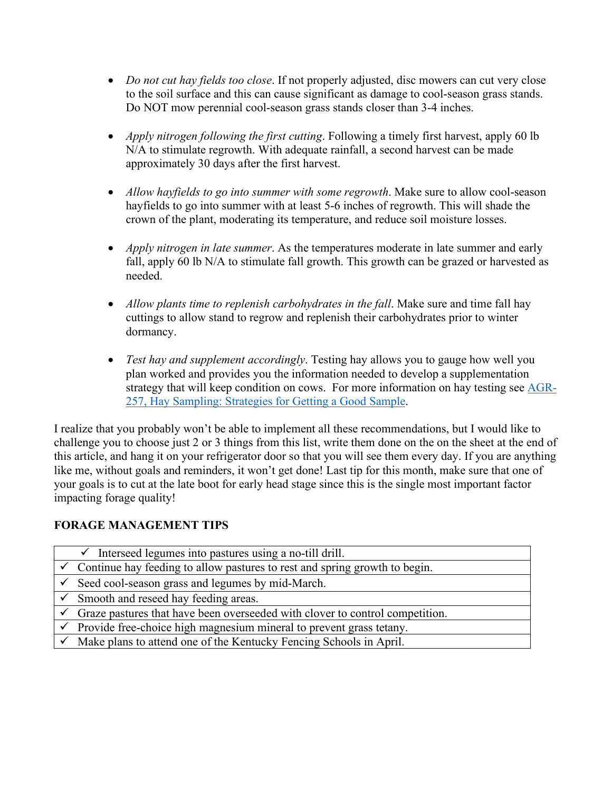- *Do not cut hay fields too close*. If not properly adjusted, disc mowers can cut very close to the soil surface and this can cause significant as damage to cool-season grass stands. Do NOT mow perennial cool-season grass stands closer than 3-4 inches.
- *Apply nitrogen following the first cutting*. Following a timely first harvest, apply 60 lb N/A to stimulate regrowth. With adequate rainfall, a second harvest can be made approximately 30 days after the first harvest.
- *Allow hayfields to go into summer with some regrowth*. Make sure to allow cool-season hayfields to go into summer with at least 5-6 inches of regrowth. This will shade the crown of the plant, moderating its temperature, and reduce soil moisture losses.
- *Apply nitrogen in late summer*. As the temperatures moderate in late summer and early fall, apply 60 lb N/A to stimulate fall growth. This growth can be grazed or harvested as needed.
- *Allow plants time to replenish carbohydrates in the fall*. Make sure and time fall hay cuttings to allow stand to regrow and replenish their carbohydrates prior to winter dormancy.
- *Test hay and supplement accordingly*. Testing hay allows you to gauge how well you plan worked and provides you the information needed to develop a supplementation strategy that will keep condition on cows. For more information on hay testing see [AGR-](http://www2.ca.uky.edu/agcomm/pubs/AGR/AGR257/AGR257.pdf)[257, Hay Sampling: Strategies for Getting a Good Sample.](http://www2.ca.uky.edu/agcomm/pubs/AGR/AGR257/AGR257.pdf)

I realize that you probably won't be able to implement all these recommendations, but I would like to challenge you to choose just 2 or 3 things from this list, write them done on the on the sheet at the end of this article, and hang it on your refrigerator door so that you will see them every day. If you are anything like me, without goals and reminders, it won't get done! Last tip for this month, make sure that one of your goals is to cut at the late boot for early head stage since this is the single most important factor impacting forage quality!

#### **FORAGE MANAGEMENT TIPS**

| $\checkmark$ Interseed legumes into pastures using a no-till drill.                       |
|-------------------------------------------------------------------------------------------|
| $\checkmark$ Continue hay feeding to allow pastures to rest and spring growth to begin.   |
| $\checkmark$ Seed cool-season grass and legumes by mid-March.                             |
| $\checkmark$ Smooth and reseed hay feeding areas.                                         |
| $\checkmark$ Graze pastures that have been overseeded with clover to control competition. |
| $\checkmark$ Provide free-choice high magnesium mineral to prevent grass tetany.          |
| $\checkmark$ Make plans to attend one of the Kentucky Fencing Schools in April.           |
|                                                                                           |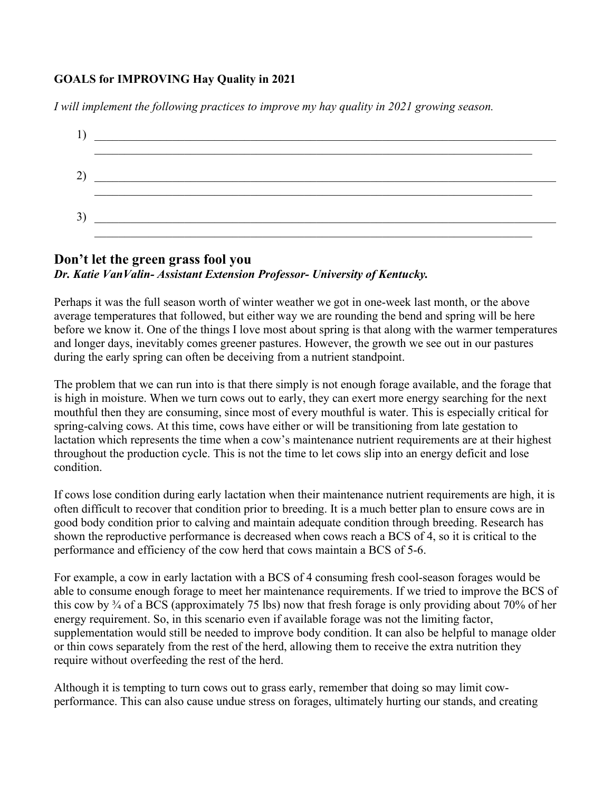#### **GOALS for IMPROVING Hay Quality in 2021**

*I will implement the following practices to improve my hay quality in 2021 growing season.* 



#### **Don't let the green grass fool you** *Dr. Katie VanValin- Assistant Extension Professor- University of Kentucky.*

Perhaps it was the full season worth of winter weather we got in one-week last month, or the above average temperatures that followed, but either way we are rounding the bend and spring will be here before we know it. One of the things I love most about spring is that along with the warmer temperatures and longer days, inevitably comes greener pastures. However, the growth we see out in our pastures during the early spring can often be deceiving from a nutrient standpoint.

The problem that we can run into is that there simply is not enough forage available, and the forage that is high in moisture. When we turn cows out to early, they can exert more energy searching for the next mouthful then they are consuming, since most of every mouthful is water. This is especially critical for spring-calving cows. At this time, cows have either or will be transitioning from late gestation to lactation which represents the time when a cow's maintenance nutrient requirements are at their highest throughout the production cycle. This is not the time to let cows slip into an energy deficit and lose condition.

If cows lose condition during early lactation when their maintenance nutrient requirements are high, it is often difficult to recover that condition prior to breeding. It is a much better plan to ensure cows are in good body condition prior to calving and maintain adequate condition through breeding. Research has shown the reproductive performance is decreased when cows reach a BCS of 4, so it is critical to the performance and efficiency of the cow herd that cows maintain a BCS of 5-6.

For example, a cow in early lactation with a BCS of 4 consuming fresh cool-season forages would be able to consume enough forage to meet her maintenance requirements. If we tried to improve the BCS of this cow by ¾ of a BCS (approximately 75 lbs) now that fresh forage is only providing about 70% of her energy requirement. So, in this scenario even if available forage was not the limiting factor, supplementation would still be needed to improve body condition. It can also be helpful to manage older or thin cows separately from the rest of the herd, allowing them to receive the extra nutrition they require without overfeeding the rest of the herd.

Although it is tempting to turn cows out to grass early, remember that doing so may limit cowperformance. This can also cause undue stress on forages, ultimately hurting our stands, and creating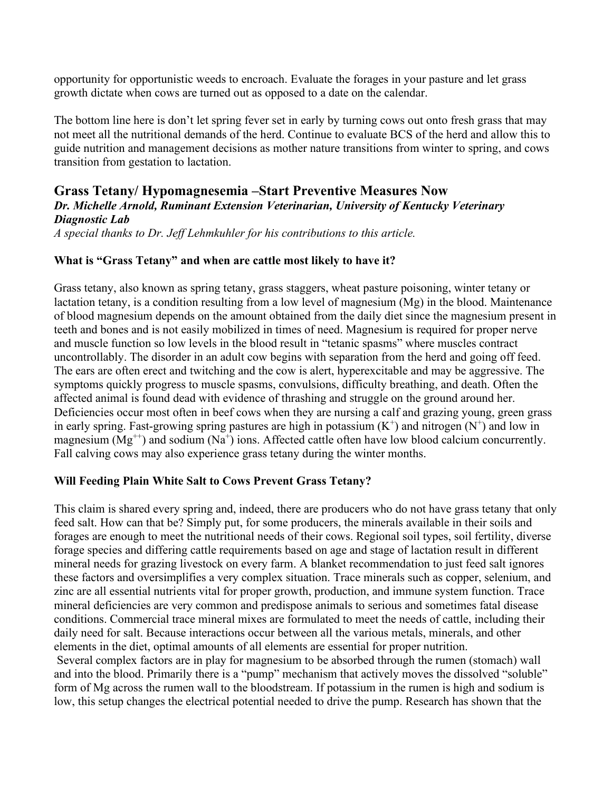opportunity for opportunistic weeds to encroach. Evaluate the forages in your pasture and let grass growth dictate when cows are turned out as opposed to a date on the calendar.

The bottom line here is don't let spring fever set in early by turning cows out onto fresh grass that may not meet all the nutritional demands of the herd. Continue to evaluate BCS of the herd and allow this to guide nutrition and management decisions as mother nature transitions from winter to spring, and cows transition from gestation to lactation.

# **Grass Tetany/ Hypomagnesemia –Start Preventive Measures Now**

#### *Dr. Michelle Arnold, Ruminant Extension Veterinarian, University of Kentucky Veterinary Diagnostic Lab*

*A special thanks to Dr. Jeff Lehmkuhler for his contributions to this article.*

#### **What is "Grass Tetany" and when are cattle most likely to have it?**

Grass tetany, also known as spring tetany, grass staggers, wheat pasture poisoning, winter tetany or lactation tetany, is a condition resulting from a low level of magnesium (Mg) in the blood. Maintenance of blood magnesium depends on the amount obtained from the daily diet since the magnesium present in teeth and bones and is not easily mobilized in times of need. Magnesium is required for proper nerve and muscle function so low levels in the blood result in "tetanic spasms" where muscles contract uncontrollably. The disorder in an adult cow begins with separation from the herd and going off feed. The ears are often erect and twitching and the cow is alert, hyperexcitable and may be aggressive. The symptoms quickly progress to muscle spasms, convulsions, difficulty breathing, and death. Often the affected animal is found dead with evidence of thrashing and struggle on the ground around her. Deficiencies occur most often in beef cows when they are nursing a calf and grazing young, green grass in early spring. Fast-growing spring pastures are high in potassium  $(K^+)$  and nitrogen  $(N^+)$  and low in magnesium ( $Mg^{++}$ ) and sodium ( $Na^{+}$ ) ions. Affected cattle often have low blood calcium concurrently. Fall calving cows may also experience grass tetany during the winter months.

#### **Will Feeding Plain White Salt to Cows Prevent Grass Tetany?**

This claim is shared every spring and, indeed, there are producers who do not have grass tetany that only feed salt. How can that be? Simply put, for some producers, the minerals available in their soils and forages are enough to meet the nutritional needs of their cows. Regional soil types, soil fertility, diverse forage species and differing cattle requirements based on age and stage of lactation result in different mineral needs for grazing livestock on every farm. A blanket recommendation to just feed salt ignores these factors and oversimplifies a very complex situation. Trace minerals such as copper, selenium, and zinc are all essential nutrients vital for proper growth, production, and immune system function. Trace mineral deficiencies are very common and predispose animals to serious and sometimes fatal disease conditions. Commercial trace mineral mixes are formulated to meet the needs of cattle, including their daily need for salt. Because interactions occur between all the various metals, minerals, and other elements in the diet, optimal amounts of all elements are essential for proper nutrition.

Several complex factors are in play for magnesium to be absorbed through the rumen (stomach) wall and into the blood. Primarily there is a "pump" mechanism that actively moves the dissolved "soluble" form of Mg across the rumen wall to the bloodstream. If potassium in the rumen is high and sodium is low, this setup changes the electrical potential needed to drive the pump. Research has shown that the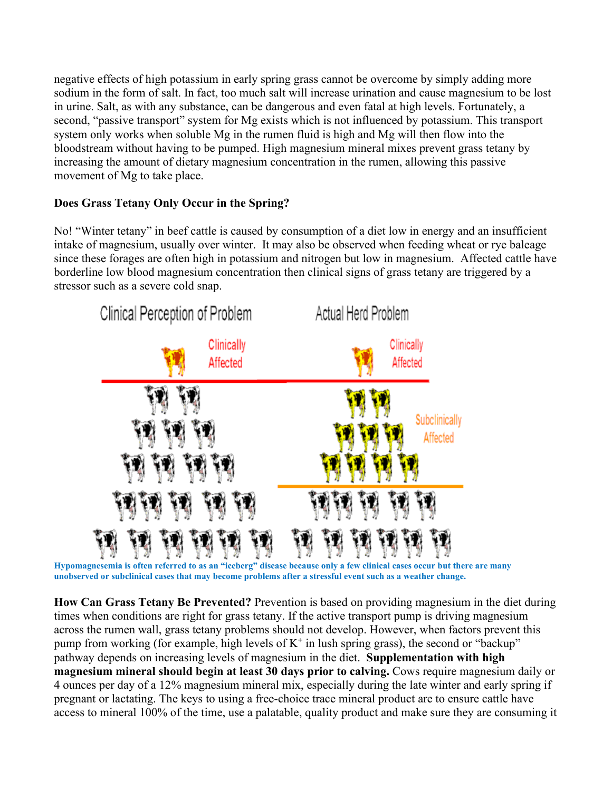negative effects of high potassium in early spring grass cannot be overcome by simply adding more sodium in the form of salt. In fact, too much salt will increase urination and cause magnesium to be lost in urine. Salt, as with any substance, can be dangerous and even fatal at high levels. Fortunately, a second, "passive transport" system for Mg exists which is not influenced by potassium. This transport system only works when soluble Mg in the rumen fluid is high and Mg will then flow into the bloodstream without having to be pumped. High magnesium mineral mixes prevent grass tetany by increasing the amount of dietary magnesium concentration in the rumen, allowing this passive movement of Mg to take place.

#### **Does Grass Tetany Only Occur in the Spring?**

No! "Winter tetany" in beef cattle is caused by consumption of a diet low in energy and an insufficient intake of magnesium, usually over winter. It may also be observed when feeding wheat or rye baleage since these forages are often high in potassium and nitrogen but low in magnesium. Affected cattle have borderline low blood magnesium concentration then clinical signs of grass tetany are triggered by a stressor such as a severe cold snap.



**Hypomagnesemia is often referred to as an "iceberg" disease because only a few clinical cases occur but there are many unobserved or subclinical cases that may become problems after a stressful event such as a weather change.**

**How Can Grass Tetany Be Prevented?** Prevention is based on providing magnesium in the diet during times when conditions are right for grass tetany. If the active transport pump is driving magnesium across the rumen wall, grass tetany problems should not develop. However, when factors prevent this pump from working (for example, high levels of  $K^+$  in lush spring grass), the second or "backup" pathway depends on increasing levels of magnesium in the diet. **Supplementation with high magnesium mineral should begin at least 30 days prior to calving.** Cows require magnesium daily or 4 ounces per day of a 12% magnesium mineral mix, especially during the late winter and early spring if pregnant or lactating. The keys to using a free-choice trace mineral product are to ensure cattle have access to mineral 100% of the time, use a palatable, quality product and make sure they are consuming it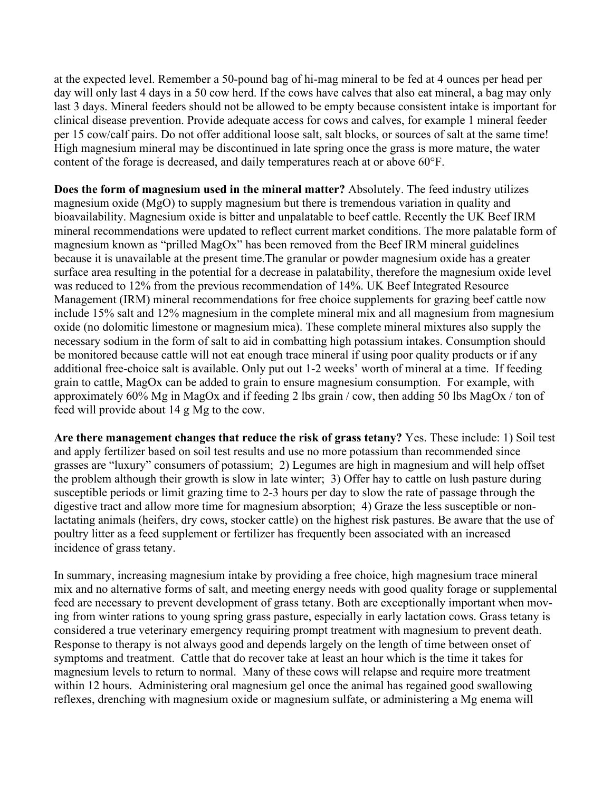at the expected level. Remember a 50-pound bag of hi-mag mineral to be fed at 4 ounces per head per day will only last 4 days in a 50 cow herd. If the cows have calves that also eat mineral, a bag may only last 3 days. Mineral feeders should not be allowed to be empty because consistent intake is important for clinical disease prevention. Provide adequate access for cows and calves, for example 1 mineral feeder per 15 cow/calf pairs. Do not offer additional loose salt, salt blocks, or sources of salt at the same time! High magnesium mineral may be discontinued in late spring once the grass is more mature, the water content of the forage is decreased, and daily temperatures reach at or above 60°F.

**Does the form of magnesium used in the mineral matter?** Absolutely. The feed industry utilizes magnesium oxide (MgO) to supply magnesium but there is tremendous variation in quality and bioavailability. Magnesium oxide is bitter and unpalatable to beef cattle. Recently the UK Beef IRM mineral recommendations were updated to reflect current market conditions. The more palatable form of magnesium known as "prilled MagOx" has been removed from the Beef IRM mineral guidelines because it is unavailable at the present time.The granular or powder magnesium oxide has a greater surface area resulting in the potential for a decrease in palatability, therefore the magnesium oxide level was reduced to 12% from the previous recommendation of 14%. UK Beef Integrated Resource Management (IRM) mineral recommendations for free choice supplements for grazing beef cattle now include 15% salt and 12% magnesium in the complete mineral mix and all magnesium from magnesium oxide (no dolomitic limestone or magnesium mica). These complete mineral mixtures also supply the necessary sodium in the form of salt to aid in combatting high potassium intakes. Consumption should be monitored because cattle will not eat enough trace mineral if using poor quality products or if any additional free-choice salt is available. Only put out 1-2 weeks' worth of mineral at a time. If feeding grain to cattle, MagOx can be added to grain to ensure magnesium consumption. For example, with approximately 60% Mg in MagOx and if feeding 2 lbs grain / cow, then adding 50 lbs MagOx / ton of feed will provide about 14 g Mg to the cow.

**Are there management changes that reduce the risk of grass tetany?** Yes. These include: 1) Soil test and apply fertilizer based on soil test results and use no more potassium than recommended since grasses are "luxury" consumers of potassium; 2) Legumes are high in magnesium and will help offset the problem although their growth is slow in late winter; 3) Offer hay to cattle on lush pasture during susceptible periods or limit grazing time to 2-3 hours per day to slow the rate of passage through the digestive tract and allow more time for magnesium absorption; 4) Graze the less susceptible or nonlactating animals (heifers, dry cows, stocker cattle) on the highest risk pastures. Be aware that the use of poultry litter as a feed supplement or fertilizer has frequently been associated with an increased incidence of grass tetany.

In summary, increasing magnesium intake by providing a free choice, high magnesium trace mineral mix and no alternative forms of salt, and meeting energy needs with good quality forage or supplemental feed are necessary to prevent development of grass tetany. Both are exceptionally important when moving from winter rations to young spring grass pasture, especially in early lactation cows. Grass tetany is considered a true veterinary emergency requiring prompt treatment with magnesium to prevent death. Response to therapy is not always good and depends largely on the length of time between onset of symptoms and treatment. Cattle that do recover take at least an hour which is the time it takes for magnesium levels to return to normal. Many of these cows will relapse and require more treatment within 12 hours. Administering oral magnesium gel once the animal has regained good swallowing reflexes, drenching with magnesium oxide or magnesium sulfate, or administering a Mg enema will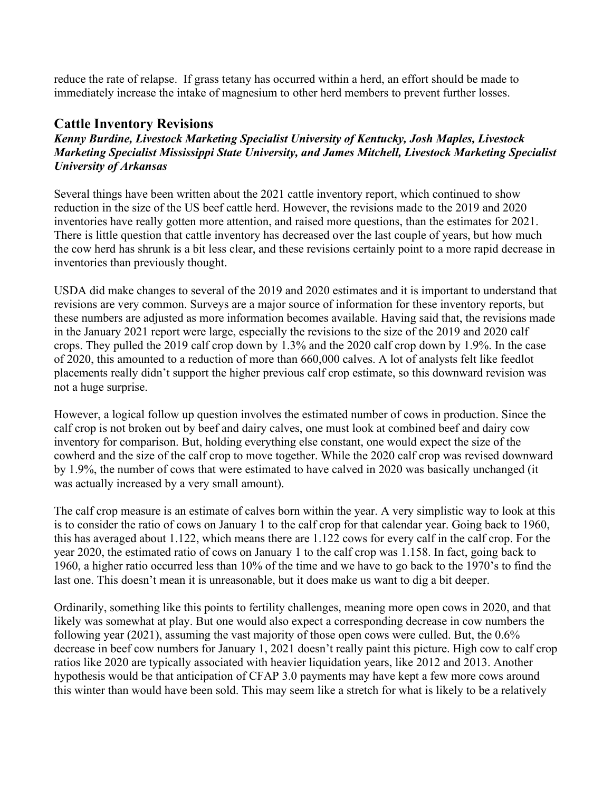reduce the rate of relapse. If grass tetany has occurred within a herd, an effort should be made to immediately increase the intake of magnesium to other herd members to prevent further losses.

#### **Cattle Inventory Revisions**

*Kenny Burdine, Livestock Marketing Specialist University of Kentucky, Josh Maples, Livestock Marketing Specialist Mississippi State University, and James Mitchell, Livestock Marketing Specialist University of Arkansas*

Several things have been written about the 2021 cattle inventory report, which continued to show reduction in the size of the US beef cattle herd. However, the revisions made to the 2019 and 2020 inventories have really gotten more attention, and raised more questions, than the estimates for 2021. There is little question that cattle inventory has decreased over the last couple of years, but how much the cow herd has shrunk is a bit less clear, and these revisions certainly point to a more rapid decrease in inventories than previously thought.

USDA did make changes to several of the 2019 and 2020 estimates and it is important to understand that revisions are very common. Surveys are a major source of information for these inventory reports, but these numbers are adjusted as more information becomes available. Having said that, the revisions made in the January 2021 report were large, especially the revisions to the size of the 2019 and 2020 calf crops. They pulled the 2019 calf crop down by 1.3% and the 2020 calf crop down by 1.9%. In the case of 2020, this amounted to a reduction of more than 660,000 calves. A lot of analysts felt like feedlot placements really didn't support the higher previous calf crop estimate, so this downward revision was not a huge surprise.

However, a logical follow up question involves the estimated number of cows in production. Since the calf crop is not broken out by beef and dairy calves, one must look at combined beef and dairy cow inventory for comparison. But, holding everything else constant, one would expect the size of the cowherd and the size of the calf crop to move together. While the 2020 calf crop was revised downward by 1.9%, the number of cows that were estimated to have calved in 2020 was basically unchanged (it was actually increased by a very small amount).

The calf crop measure is an estimate of calves born within the year. A very simplistic way to look at this is to consider the ratio of cows on January 1 to the calf crop for that calendar year. Going back to 1960, this has averaged about 1.122, which means there are 1.122 cows for every calf in the calf crop. For the year 2020, the estimated ratio of cows on January 1 to the calf crop was 1.158. In fact, going back to 1960, a higher ratio occurred less than 10% of the time and we have to go back to the 1970's to find the last one. This doesn't mean it is unreasonable, but it does make us want to dig a bit deeper.

Ordinarily, something like this points to fertility challenges, meaning more open cows in 2020, and that likely was somewhat at play. But one would also expect a corresponding decrease in cow numbers the following year (2021), assuming the vast majority of those open cows were culled. But, the 0.6% decrease in beef cow numbers for January 1, 2021 doesn't really paint this picture. High cow to calf crop ratios like 2020 are typically associated with heavier liquidation years, like 2012 and 2013. Another hypothesis would be that anticipation of CFAP 3.0 payments may have kept a few more cows around this winter than would have been sold. This may seem like a stretch for what is likely to be a relatively